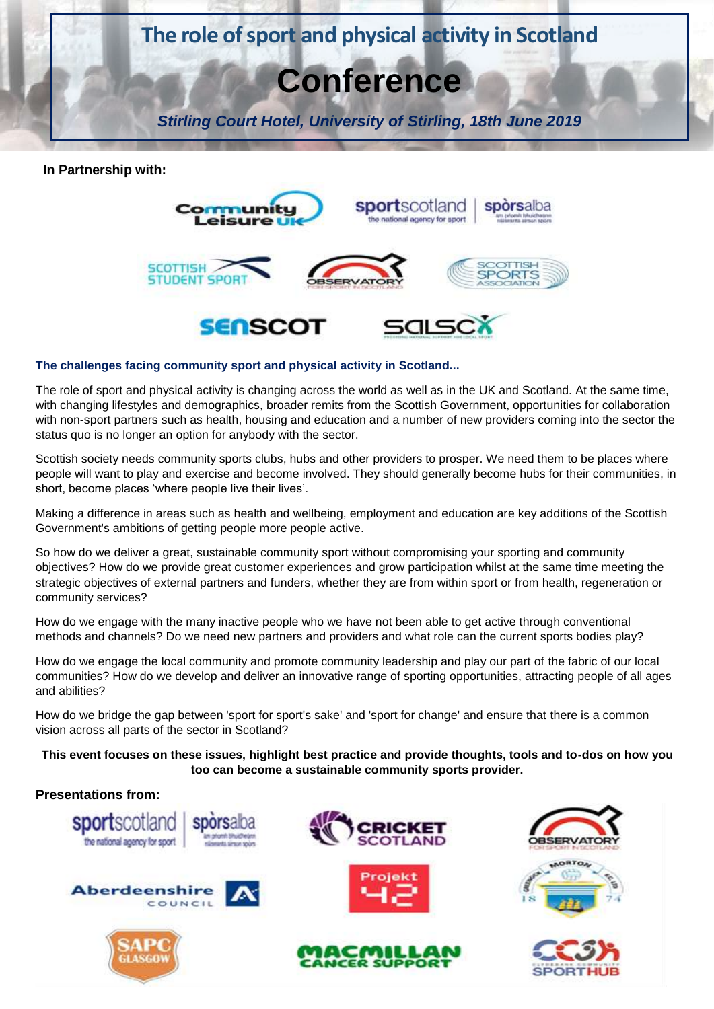

**In Partnership with:**



# **The challenges facing community sport and physical activity in Scotland...**

The role of sport and physical activity is changing across the world as well as in the UK and Scotland. At the same time, with changing lifestyles and demographics, broader remits from the Scottish Government, opportunities for collaboration with non-sport partners such as health, housing and education and a number of new providers coming into the sector the status quo is no longer an option for anybody with the sector.

Scottish society needs community sports clubs, hubs and other providers to prosper. We need them to be places where people will want to play and exercise and become involved. They should generally become hubs for their communities, in short, become places 'where people live their lives'.

Making a difference in areas such as health and wellbeing, employment and education are key additions of the Scottish Government's ambitions of getting people more people active.

So how do we deliver a great, sustainable community sport without compromising your sporting and community objectives? How do we provide great customer experiences and grow participation whilst at the same time meeting the strategic objectives of external partners and funders, whether they are from within sport or from health, regeneration or community services?

How do we engage with the many inactive people who we have not been able to get active through conventional methods and channels? Do we need new partners and providers and what role can the current sports bodies play?

How do we engage the local community and promote community leadership and play our part of the fabric of our local communities? How do we develop and deliver an innovative range of sporting opportunities, attracting people of all ages and abilities?

How do we bridge the gap between 'sport for sport's sake' and 'sport for change' and ensure that there is a common vision across all parts of the sector in Scotland?

**This event focuses on these issues, highlight best practice and provide thoughts, tools and to-dos on how you too can become a sustainable community sports provider.**

# **Presentations from:**



**CER SUPPOR**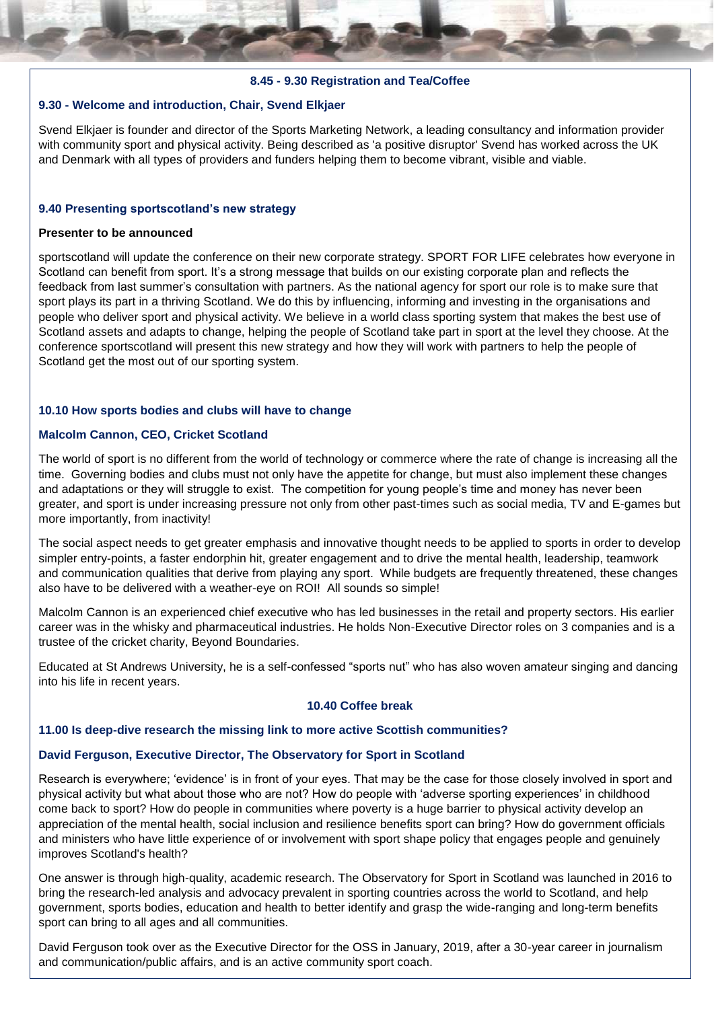## **8.45 - 9.30 Registration and Tea/Coffee**

# **9.30 - Welcome and introduction, Chair, Svend Elkjaer**

Svend Elkjaer is founder and director of the Sports Marketing Network, a leading consultancy and information provider with community sport and physical activity. Being described as 'a positive disruptor' Svend has worked across the UK and Denmark with all types of providers and funders helping them to become vibrant, visible and viable.

#### **9.40 Presenting sportscotland's new strategy**

#### **Presenter to be announced**

sportscotland will update the conference on their new corporate strategy. SPORT FOR LIFE celebrates how everyone in Scotland can benefit from sport. It's a strong message that builds on our existing corporate plan and reflects the feedback from last summer's consultation with partners. As the national agency for sport our role is to make sure that sport plays its part in a thriving Scotland. We do this by influencing, informing and investing in the organisations and people who deliver sport and physical activity. We believe in a world class sporting system that makes the best use of Scotland assets and adapts to change, helping the people of Scotland take part in sport at the level they choose. At the conference sportscotland will present this new strategy and how they will work with partners to help the people of Scotland get the most out of our sporting system.

#### **10.10 How sports bodies and clubs will have to change**

#### **Malcolm Cannon, CEO, Cricket Scotland**

The world of sport is no different from the world of technology or commerce where the rate of change is increasing all the time. Governing bodies and clubs must not only have the appetite for change, but must also implement these changes and adaptations or they will struggle to exist. The competition for young people's time and money has never been greater, and sport is under increasing pressure not only from other past-times such as social media, TV and E-games but more importantly, from inactivity!

The social aspect needs to get greater emphasis and innovative thought needs to be applied to sports in order to develop simpler entry-points, a faster endorphin hit, greater engagement and to drive the mental health, leadership, teamwork and communication qualities that derive from playing any sport. While budgets are frequently threatened, these changes also have to be delivered with a weather-eye on ROI! All sounds so simple!

Malcolm Cannon is an experienced chief executive who has led businesses in the retail and property sectors. His earlier career was in the whisky and pharmaceutical industries. He holds Non-Executive Director roles on 3 companies and is a trustee of the cricket charity, Beyond Boundaries.

Educated at St Andrews University, he is a self-confessed "sports nut" who has also woven amateur singing and dancing into his life in recent years.

# **10.40 Coffee break**

#### **11.00 Is deep-dive research the missing link to more active Scottish communities?**

#### **David Ferguson, Executive Director, The Observatory for Sport in Scotland**

Research is everywhere; 'evidence' is in front of your eyes. That may be the case for those closely involved in sport and physical activity but what about those who are not? How do people with 'adverse sporting experiences' in childhood come back to sport? How do people in communities where poverty is a huge barrier to physical activity develop an appreciation of the mental health, social inclusion and resilience benefits sport can bring? How do government officials and ministers who have little experience of or involvement with sport shape policy that engages people and genuinely improves Scotland's health?

One answer is through high-quality, academic research. The Observatory for Sport in Scotland was launched in 2016 to bring the research-led analysis and advocacy prevalent in sporting countries across the world to Scotland, and help government, sports bodies, education and health to better identify and grasp the wide-ranging and long-term benefits sport can bring to all ages and all communities.

David Ferguson took over as the Executive Director for the OSS in January, 2019, after a 30-year career in journalism and communication/public affairs, and is an active community sport coach.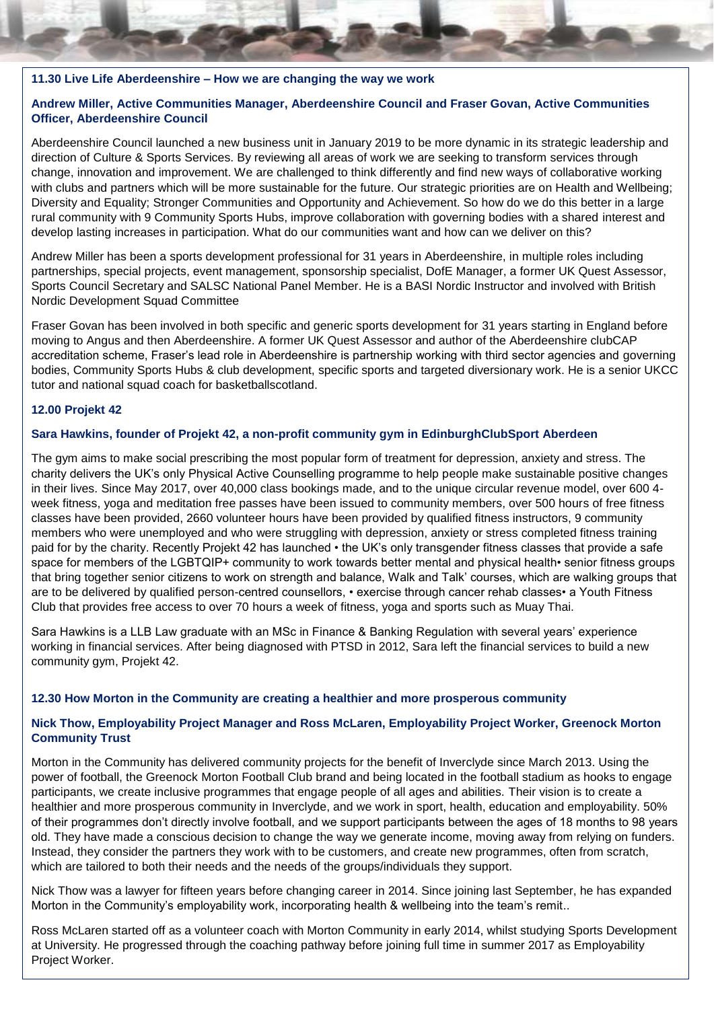#### **11.30 Live Life Aberdeenshire – How we are changing the way we work**

# **Andrew Miller, Active Communities Manager, Aberdeenshire Council and Fraser Govan, Active Communities Officer, Aberdeenshire Council**

Aberdeenshire Council launched a new business unit in January 2019 to be more dynamic in its strategic leadership and direction of Culture & Sports Services. By reviewing all areas of work we are seeking to transform services through change, innovation and improvement. We are challenged to think differently and find new ways of collaborative working with clubs and partners which will be more sustainable for the future. Our strategic priorities are on Health and Wellbeing; Diversity and Equality; Stronger Communities and Opportunity and Achievement. So how do we do this better in a large rural community with 9 Community Sports Hubs, improve collaboration with governing bodies with a shared interest and develop lasting increases in participation. What do our communities want and how can we deliver on this?

Andrew Miller has been a sports development professional for 31 years in Aberdeenshire, in multiple roles including partnerships, special projects, event management, sponsorship specialist, DofE Manager, a former UK Quest Assessor, Sports Council Secretary and SALSC National Panel Member. He is a BASI Nordic Instructor and involved with British Nordic Development Squad Committee

Fraser Govan has been involved in both specific and generic sports development for 31 years starting in England before moving to Angus and then Aberdeenshire. A former UK Quest Assessor and author of the Aberdeenshire clubCAP accreditation scheme, Fraser's lead role in Aberdeenshire is partnership working with third sector agencies and governing bodies, Community Sports Hubs & club development, specific sports and targeted diversionary work. He is a senior UKCC tutor and national squad coach for basketballscotland.

#### **12.00 Projekt 42**

#### **Sara Hawkins, founder of Projekt 42, a non-profit community gym in EdinburghClubSport Aberdeen**

The gym aims to make social prescribing the most popular form of treatment for depression, anxiety and stress. The charity delivers the UK's only Physical Active Counselling programme to help people make sustainable positive changes in their lives. Since May 2017, over 40,000 class bookings made, and to the unique circular revenue model, over 600 4 week fitness, yoga and meditation free passes have been issued to community members, over 500 hours of free fitness classes have been provided, 2660 volunteer hours have been provided by qualified fitness instructors, 9 community members who were unemployed and who were struggling with depression, anxiety or stress completed fitness training paid for by the charity. Recently Projekt 42 has launched • the UK's only transgender fitness classes that provide a safe space for members of the LGBTQIP+ community to work towards better mental and physical health• senior fitness groups that bring together senior citizens to work on strength and balance, Walk and Talk' courses, which are walking groups that are to be delivered by qualified person-centred counsellors, • exercise through cancer rehab classes• a Youth Fitness Club that provides free access to over 70 hours a week of fitness, yoga and sports such as Muay Thai.

Sara Hawkins is a LLB Law graduate with an MSc in Finance & Banking Regulation with several years' experience working in financial services. After being diagnosed with PTSD in 2012, Sara left the financial services to build a new community gym, Projekt 42.

#### **12.30 How Morton in the Community are creating a healthier and more prosperous community**

# **Nick Thow, Employability Project Manager and Ross McLaren, Employability Project Worker, Greenock Morton Community Trust**

Morton in the Community has delivered community projects for the benefit of Inverclyde since March 2013. Using the power of football, the Greenock Morton Football Club brand and being located in the football stadium as hooks to engage participants, we create inclusive programmes that engage people of all ages and abilities. Their vision is to create a healthier and more prosperous community in Inverclyde, and we work in sport, health, education and employability. 50% of their programmes don't directly involve football, and we support participants between the ages of 18 months to 98 years old. They have made a conscious decision to change the way we generate income, moving away from relying on funders. Instead, they consider the partners they work with to be customers, and create new programmes, often from scratch, which are tailored to both their needs and the needs of the groups/individuals they support.

Nick Thow was a lawyer for fifteen years before changing career in 2014. Since joining last September, he has expanded Morton in the Community's employability work, incorporating health & wellbeing into the team's remit..

Ross McLaren started off as a volunteer coach with Morton Community in early 2014, whilst studying Sports Development at University. He progressed through the coaching pathway before joining full time in summer 2017 as Employability Project Worker.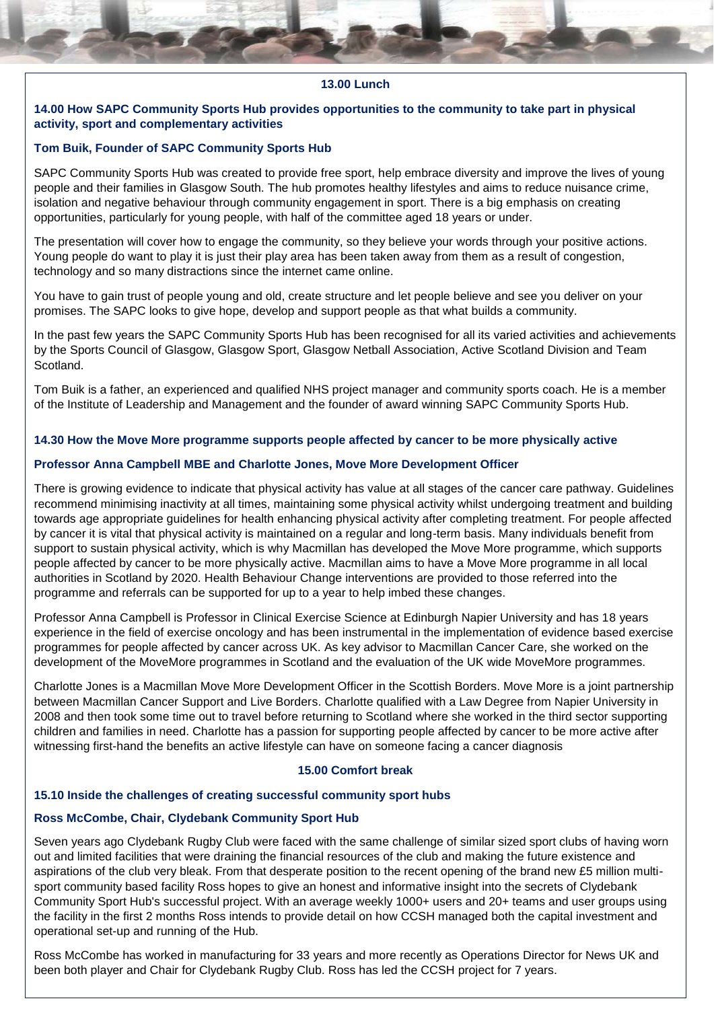## **13.00 Lunch**

#### **14.00 How SAPC Community Sports Hub provides opportunities to the community to take part in physical activity, sport and complementary activities**

#### **Tom Buik, Founder of SAPC Community Sports Hub**

SAPC Community Sports Hub was created to provide free sport, help embrace diversity and improve the lives of young people and their families in Glasgow South. The hub promotes healthy lifestyles and aims to reduce nuisance crime, isolation and negative behaviour through community engagement in sport. There is a big emphasis on creating opportunities, particularly for young people, with half of the committee aged 18 years or under.

The presentation will cover how to engage the community, so they believe your words through your positive actions. Young people do want to play it is just their play area has been taken away from them as a result of congestion, technology and so many distractions since the internet came online.

You have to gain trust of people young and old, create structure and let people believe and see you deliver on your promises. The SAPC looks to give hope, develop and support people as that what builds a community.

In the past few years the SAPC Community Sports Hub has been recognised for all its varied activities and achievements by the Sports Council of Glasgow, Glasgow Sport, Glasgow Netball Association, Active Scotland Division and Team Scotland.

Tom Buik is a father, an experienced and qualified NHS project manager and community sports coach. He is a member of the Institute of Leadership and Management and the founder of award winning SAPC Community Sports Hub.

# **14.30 How the Move More programme supports people affected by cancer to be more physically active**

#### **Professor Anna Campbell MBE and Charlotte Jones, Move More Development Officer**

There is growing evidence to indicate that physical activity has value at all stages of the cancer care pathway. Guidelines recommend minimising inactivity at all times, maintaining some physical activity whilst undergoing treatment and building towards age appropriate guidelines for health enhancing physical activity after completing treatment. For people affected by cancer it is vital that physical activity is maintained on a regular and long-term basis. Many individuals benefit from support to sustain physical activity, which is why Macmillan has developed the Move More programme, which supports people affected by cancer to be more physically active. Macmillan aims to have a Move More programme in all local authorities in Scotland by 2020. Health Behaviour Change interventions are provided to those referred into the programme and referrals can be supported for up to a year to help imbed these changes.

Professor Anna Campbell is Professor in Clinical Exercise Science at Edinburgh Napier University and has 18 years experience in the field of exercise oncology and has been instrumental in the implementation of evidence based exercise programmes for people affected by cancer across UK. As key advisor to Macmillan Cancer Care, she worked on the development of the MoveMore programmes in Scotland and the evaluation of the UK wide MoveMore programmes.

Charlotte Jones is a Macmillan Move More Development Officer in the Scottish Borders. Move More is a joint partnership between Macmillan Cancer Support and Live Borders. Charlotte qualified with a Law Degree from Napier University in 2008 and then took some time out to travel before returning to Scotland where she worked in the third sector supporting children and families in need. Charlotte has a passion for supporting people affected by cancer to be more active after witnessing first-hand the benefits an active lifestyle can have on someone facing a cancer diagnosis

#### **15.00 Comfort break**

## **15.10 Inside the challenges of creating successful community sport hubs**

## **Ross McCombe, Chair, Clydebank Community Sport Hub**

Seven years ago Clydebank Rugby Club were faced with the same challenge of similar sized sport clubs of having worn out and limited facilities that were draining the financial resources of the club and making the future existence and aspirations of the club very bleak. From that desperate position to the recent opening of the brand new £5 million multisport community based facility Ross hopes to give an honest and informative insight into the secrets of Clydebank Community Sport Hub's successful project. With an average weekly 1000+ users and 20+ teams and user groups using the facility in the first 2 months Ross intends to provide detail on how CCSH managed both the capital investment and operational set-up and running of the Hub.

Ross McCombe has worked in manufacturing for 33 years and more recently as Operations Director for News UK and been both player and Chair for Clydebank Rugby Club. Ross has led the CCSH project for 7 years.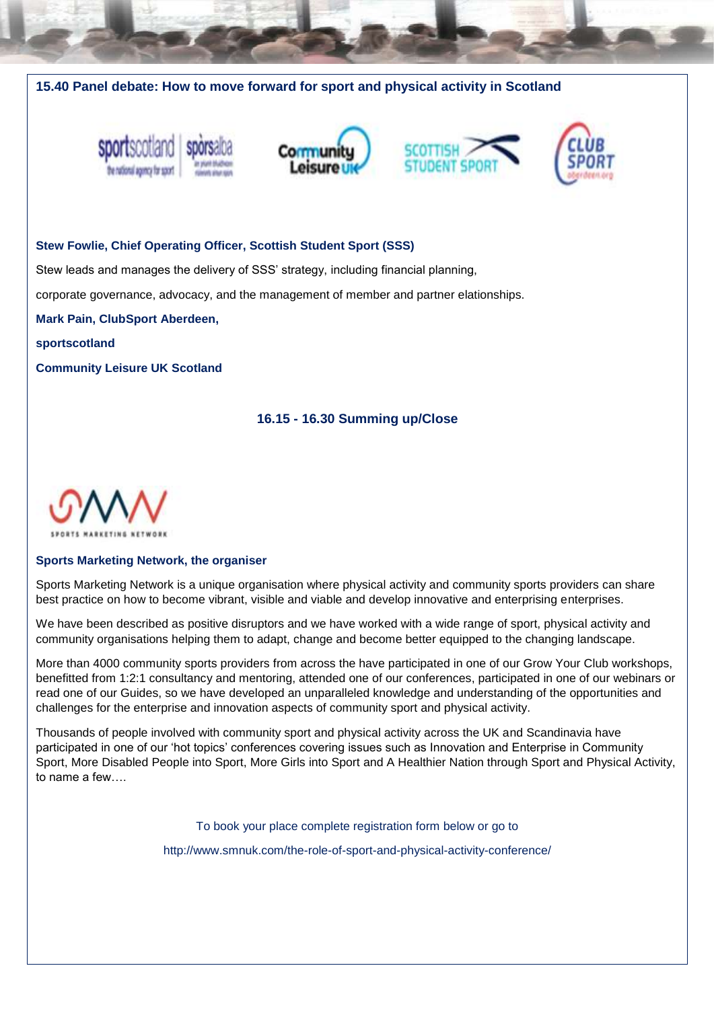









#### **Stew Fowlie, Chief Operating Officer, Scottish Student Sport (SSS)**

Stew leads and manages the delivery of SSS' strategy, including financial planning,

corporate governance, advocacy, and the management of member and partner elationships.

**Mark Pain, ClubSport Aberdeen,** 

**sportscotland**

**Community Leisure UK Scotland**

# **16.15 - 16.30 Summing up/Close**



#### **Sports Marketing Network, the organiser**

Sports Marketing Network is a unique organisation where physical activity and community sports providers can share best practice on how to become vibrant, visible and viable and develop innovative and enterprising enterprises.

We have been described as positive disruptors and we have worked with a wide range of sport, physical activity and community organisations helping them to adapt, change and become better equipped to the changing landscape.

More than 4000 community sports providers from across the have participated in one of our Grow Your Club workshops, benefitted from 1:2:1 consultancy and mentoring, attended one of our conferences, participated in one of our webinars or read one of our Guides, so we have developed an unparalleled knowledge and understanding of the opportunities and challenges for the enterprise and innovation aspects of community sport and physical activity.

Thousands of people involved with community sport and physical activity across the UK and Scandinavia have participated in one of our 'hot topics' conferences covering issues such as Innovation and Enterprise in Community Sport, More Disabled People into Sport, More Girls into Sport and A Healthier Nation through Sport and Physical Activity, to name a few….

To book your place complete registration form below or go to

http://www.smnuk.com/the-role-of-sport-and-physical-activity-conference/